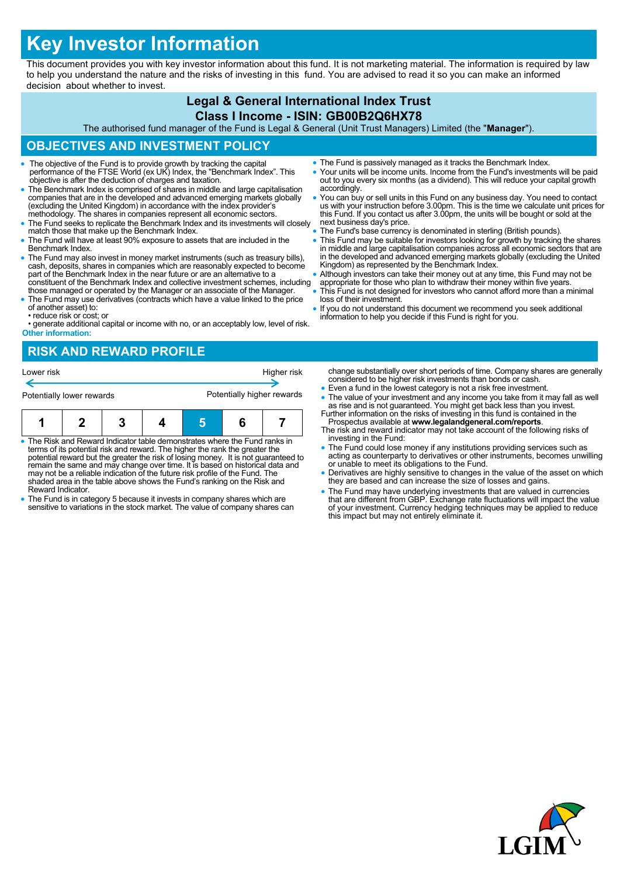# **Key Investor Information**

This document provides you with key investor information about this fund. It is not marketing material. The information is required by law to help you understand the nature and the risks of investing in this fund. You are advised to read it so you can make an informed decision about whether to invest.

## **Legal & General International Index Trust Class I Income - ISIN: GB00B2Q6HX78**

The authorised fund manager of the Fund is Legal & General (Unit Trust Managers) Limited (the "**Manager**").

# **OBJECTIVES AND INVESTMENT POLICY**

- The objective of the Fund is to provide growth by tracking the capital performance of the FTSE World (ex UK) Index, the "Benchmark Index". This objective is after the deduction of charges and taxation.
- The Benchmark Index is comprised of shares in middle and large capitalisation companies that are in the developed and advanced emerging markets globally (excluding the United Kingdom) in accordance with the index provider's methodology. The shares in companies represent all economic sectors.
- The Fund seeks to replicate the Benchmark Index and its investments will closely match those that make up the Benchmark Index.
- The Fund will have at least 90% exposure to assets that are included in the Benchmark Index.
- The Fund may also invest in money market instruments (such as treasury bills), cash, deposits, shares in companies which are reasonably expected to become part of the Benchmark Index in the near future or are an alternative to a constituent of the Benchmark Index and collective investment schemes, including those managed or operated by the Manager or an associate of the Manager.
- The Fund may use derivatives (contracts which have a value linked to the price of another asset) to:
- reduce risk or cost; or
- generate additional capital or income with no, or an acceptably low, level of risk. **Other information:**

# **RISK AND REWARD PROFILE**

| Lower risk                |  |  |  | Higher risk                |  |  |  |
|---------------------------|--|--|--|----------------------------|--|--|--|
| Potentially lower rewards |  |  |  | Potentially higher rewards |  |  |  |
|                           |  |  |  |                            |  |  |  |

| $\bullet$ The Risk and Reward Indicator table demonstrates where the Fund ranks in |  |  |  |  |  |  |
|------------------------------------------------------------------------------------|--|--|--|--|--|--|

- terms of its potential risk and reward. The higher the rank the greater the potential reward but the greater the risk of losing money. It is not guaranteed to remain the same and may change over time. It is based on historical data and may not be a reliable indication of the future risk profile of the Fund. The shaded area in the table above shows the Fund's ranking on the Risk and Reward Indicator.
- The Fund is in category 5 because it invests in company shares which are sensitive to variations in the stock market. The value of company shares can
- The Fund is passively managed as it tracks the Benchmark Index.
- Your units will be income units. Income from the Fund's investments will be paid out to you every six months (as a dividend). This will reduce your capital growth accordingly.
- You can buy or sell units in this Fund on any business day. You need to contact us with your instruction before 3.00pm. This is the time we calculate unit prices for this Fund. If you contact us after 3.00pm, the units will be bought or sold at the next business day's price.
- The Fund's base currency is denominated in sterling (British pounds).
- This Fund may be suitable for investors looking for growth by tracking the shares in middle and large capitalisation companies across all economic sectors that are in the developed and advanced emerging markets globally (excluding the United Kingdom) as represented by the Benchmark Index.
- Although investors can take their money out at any time, this Fund may not be
- appropriate for those who plan to withdraw their money within five years. This Fund is not designed for investors who cannot afford more than a minimal loss of their investment.
- If you do not understand this document we recommend you seek additional information to help you decide if this Fund is right for you.

change substantially over short periods of time. Company shares are generally considered to be higher risk investments than bonds or cash.

- Even a fund in the lowest category is not a risk free investment.
- The value of your investment and any income you take from it may fall as well as rise and is not guaranteed. You might get back less than you invest. Further information on the risks of investing in this fund is contained in the
- Prospectus available at **www.legalandgeneral.com/reports**. The risk and reward indicator may not take account of the following risks of investing in the Fund:
- The Fund could lose money if any institutions providing services such as acting as counterparty to derivatives or other instruments, becomes unwilling or unable to meet its obligations to the Fund.
- Derivatives are highly sensitive to changes in the value of the asset on which they are based and can increase the size of losses and gains.
- The Fund may have underlying investments that are valued in currencies that are different from GBP. Exchange rate fluctuations will impact the value of your investment. Currency hedging techniques may be applied to reduce this impact but may not entirely eliminate it.